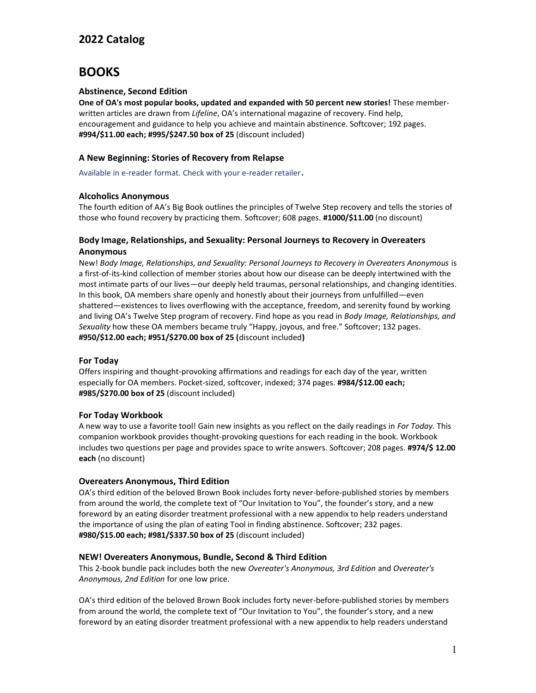# **BOOKS**

# **Abstinence, Second Edition**

**One of OA's most popular books, updated and expanded with 50 percent new stories!** These memberwritten articles are drawn from *Lifeline*, OA's international magazine of recovery. Find help, encouragement and guidance to help you achieve and maintain abstinence. Softcover; 192 pages. **#994/\$11.00 each; #995/\$247.50 box of 25** (discount included)

# **A New Beginning: Stories of Recovery from Relapse**

Available in e-reader format. Check with your e-reader retailer.

# **Alcoholics Anonymous**

The fourth edition of AA's Big Book outlines the principles of Twelve Step recovery and tells the stories of those who found recovery by practicing them. Softcover; 608 pages. **#1000/\$11.00** (no discount)

# **Body Image, Relationships, and Sexuality: Personal Journeys to Recovery in Overeaters Anonymous**

New! *Body Image, Relationships, and Sexuality: Personal Journeys to Recovery in Overeaters Anonymous* is a first-of-its-kind collection of member stories about how our disease can be deeply intertwined with the most intimate parts of our lives—our deeply held traumas, personal relationships, and changing identities. In this book, OA members share openly and honestly about their journeys from unfulfilled—even shattered—existences to lives overflowing with the acceptance, freedom, and serenity found by working and living OA's Twelve Step program of recovery. Find hope as you read in *Body Image, Relationships, and Sexuality* how these OA members became truly "Happy, joyous, and free." Softcover; 132 pages. **#950/\$12.00 each; #951/\$270.00 box of 25 (**discount included**)**

#### **For Today**

Offers inspiring and thought-provoking affirmations and readings for each day of the year, written especially for OA members. Pocket-sized, softcover, indexed; 374 pages. **#984/\$12.00 each; #985/\$270.00 box of 25** (discount included)

#### **For Today Workbook**

A new way to use a favorite tool! Gain new insights as you reflect on the daily readings in *For Today.* This companion workbook provides thought-provoking questions for each reading in the book. Workbook includes two questions per page and provides space to write answers. Softcover; 208 pages. **#974/\$ 12.00 each** (no discount)

#### **Overeaters Anonymous, Third Edition**

OA's third edition of the beloved Brown Book includes forty never-before-published stories by members from around the world, the complete text of "Our Invitation to You", the founder's story, and a new foreword by an eating disorder treatment professional with a new appendix to help readers understand the importance of using the plan of eating Tool in finding abstinence. Softcover; 232 pages. **#980/\$15.00 each; #981/\$337.50 box of 25** (discount included)

#### **NEW! Overeaters Anonymous, Bundle, Second & Third Edition**

This 2-book bundle pack includes both the new *Overeater's Anonymous, 3rd Edition* and *Overeater's Anonymous, 2nd Edition* for one low price.

OA's third edition of the beloved Brown Book includes forty never-before-published stories by members from around the world, the complete text of "Our Invitation to You", the founder's story, and a new foreword by an eating disorder treatment professional with a new appendix to help readers understand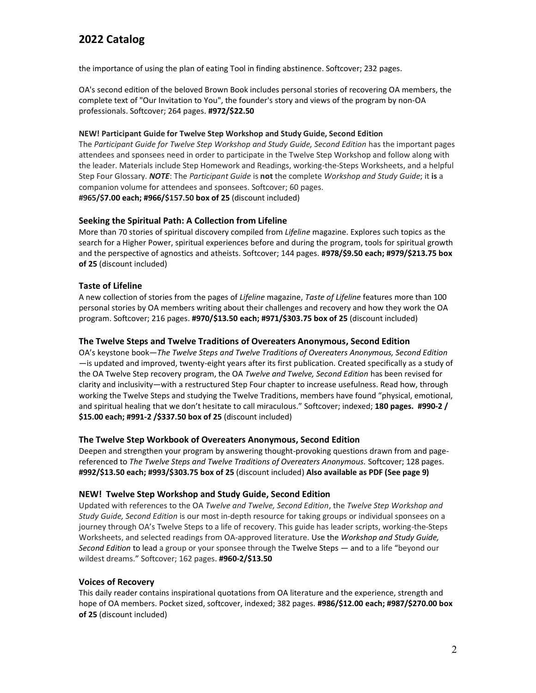the importance of using the plan of eating Tool in finding abstinence. Softcover; 232 pages.

OA's second edition of the beloved Brown Book includes personal stories of recovering OA members, the complete text of "Our Invitation to You", the founder's story and views of the program by non-OA professionals. Softcover; 264 pages. **#972/\$22.50**

#### **NEW! Participant Guide for Twelve Step Workshop and Study Guide, Second Edition**

The *Participant Guide for Twelve Step Workshop and Study Guide, Second Edition* has the important pages attendees and sponsees need in order to participate in the Twelve Step Workshop and follow along with the leader. Materials include Step Homework and Readings, working-the-Steps Worksheets, and a helpful Step Four Glossary. *NOTE*: The *Participant Guide* is **not** the complete *Workshop and Study Guide*; it **is** a companion volume for attendees and sponsees. Softcover; 60 pages. **#965/\$7.00 each; #966/\$157.50 box of 25** (discount included)

# **Seeking the Spiritual Path: A Collection from Lifeline**

More than 70 stories of spiritual discovery compiled from *Lifeline* magazine. Explores such topics as the search for a Higher Power, spiritual experiences before and during the program, tools for spiritual growth and the perspective of agnostics and atheists. Softcover; 144 pages. **#978/\$9.50 each; #979/\$213.75 box of 25** (discount included)

# **Taste of Lifeline**

A new collection of stories from the pages of *Lifeline* magazine, *Taste of Lifeline* features more than 100 personal stories by OA members writing about their challenges and recovery and how they work the OA program. Softcover; 216 pages. **#970/\$13.50 each; #971/\$303.75 box of 25** (discount included)

#### **The Twelve Steps and Twelve Traditions of Overeaters Anonymous, Second Edition**

OA's keystone book—*The Twelve Steps and Twelve Traditions of Overeaters Anonymous, Second Edition* —is updated and improved, twenty-eight years after its first publication. Created specifically as a study of the OA Twelve Step recovery program, the OA *Twelve and Twelve, Second Edition* has been revised for clarity and inclusivity—with a restructured Step Four chapter to increase usefulness. Read how, through working the Twelve Steps and studying the Twelve Traditions, members have found "physical, emotional, and spiritual healing that we don't hesitate to call miraculous." Softcover; indexed; **180 pages. #990-2 / \$15.00 each; #991-2 /\$337.50 box of 25** (discount included)

#### **The Twelve Step Workbook of Overeaters Anonymous, Second Edition**

Deepen and strengthen your program by answering thought-provoking questions drawn from and pagereferenced to *The Twelve Steps and Twelve Traditions of Overeaters Anonymous.* Softcover; 128 pages. **#992/\$13.50 each; #993/\$303.75 box of 25** (discount included) **Also available as PDF (See page 9)**

#### **NEW! Twelve Step Workshop and Study Guide, Second Edition**

Updated with references to the OA *Twelve and Twelve, Second Edition*, the *Twelve Step Workshop and Study Guide, Second Edition* is our most in-depth resource for taking groups or individual sponsees on a journey through OA's Twelve Steps to a life of recovery. This guide has leader scripts, working-the-Steps Worksheets, and selected readings from OA-approved literature. Use the *Workshop and Study Guide, Second Edition* to lead a group or your sponsee through the Twelve Steps — and to a life "beyond our wildest dreams." Softcover; 162 pages. **#960-2/\$13.50**

#### **Voices of Recovery**

This daily reader contains inspirational quotations from OA literature and the experience, strength and hope of OA members. Pocket sized, softcover, indexed; 382 pages. **#986/\$12.00 each; #987/\$270.00 box of 25** (discount included)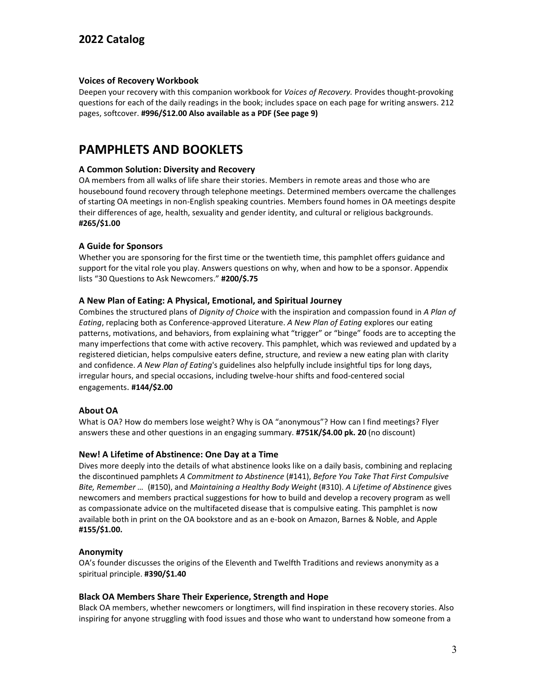# **Voices of Recovery Workbook**

Deepen your recovery with this companion workbook for *Voices of Recovery.* Provides thought-provoking questions for each of the daily readings in the book; includes space on each page for writing answers. 212 pages, softcover. **#996/\$12.00 Also available as a PDF (See page 9)**

# **PAMPHLETS AND BOOKLETS**

# **A Common Solution: Diversity and Recovery**

OA members from all walks of life share their stories. Members in remote areas and those who are housebound found recovery through telephone meetings. Determined members overcame the challenges of starting OA meetings in non-English speaking countries. Members found homes in OA meetings despite their differences of age, health, sexuality and gender identity, and cultural or religious backgrounds. **#265/\$1.00**

# **A Guide for Sponsors**

Whether you are sponsoring for the first time or the twentieth time, this pamphlet offers guidance and support for the vital role you play. Answers questions on why, when and how to be a sponsor. Appendix lists "30 Questions to Ask Newcomers." **#200/\$.75**

# **A New Plan of Eating: A Physical, Emotional, and Spiritual Journey**

Combines the structured plans of *Dignity of Choice* with the inspiration and compassion found in *A Plan of Eating*, replacing both as Conference-approved Literature. *A New Plan of Eating* explores our eating patterns, motivations, and behaviors, from explaining what "trigger" or "binge" foods are to accepting the many imperfections that come with active recovery. This pamphlet, which was reviewed and updated by a registered dietician, helps compulsive eaters define, structure, and review a new eating plan with clarity and confidence. *A New Plan of Eating*'s guidelines also helpfully include insightful tips for long days, irregular hours, and special occasions, including twelve-hour shifts and food-centered social engagements. **#144/\$2.00**

# **About OA**

What is OA? How do members lose weight? Why is OA "anonymous"? How can I find meetings? Flyer answers these and other questions in an engaging summary. **#751K/\$4.00 pk. 20** (no discount)

#### **New! A Lifetime of Abstinence: One Day at a Time**

Dives more deeply into the details of what abstinence looks like on a daily basis, combining and replacing the discontinued pamphlets *A Commitment to Abstinence* (#141), *Before You Take That First Compulsive Bite, Remember …* (#150), and *Maintaining a Healthy Body Weight* (#310). *A Lifetime of Abstinence* gives newcomers and members practical suggestions for how to build and develop a recovery program as well as compassionate advice on the multifaceted disease that is compulsive eating. This pamphlet is now available both in print on the OA bookstore and as an e-book on Amazon, Barnes & Noble, and Apple **#155/\$1.00.**

#### **Anonymity**

OA's founder discusses the origins of the Eleventh and Twelfth Traditions and reviews anonymity as a spiritual principle. **#390/\$1.40**

#### **Black OA Members Share Their Experience, Strength and Hope**

Black OA members, whether newcomers or longtimers, will find inspiration in these recovery stories. Also inspiring for anyone struggling with food issues and those who want to understand how someone from a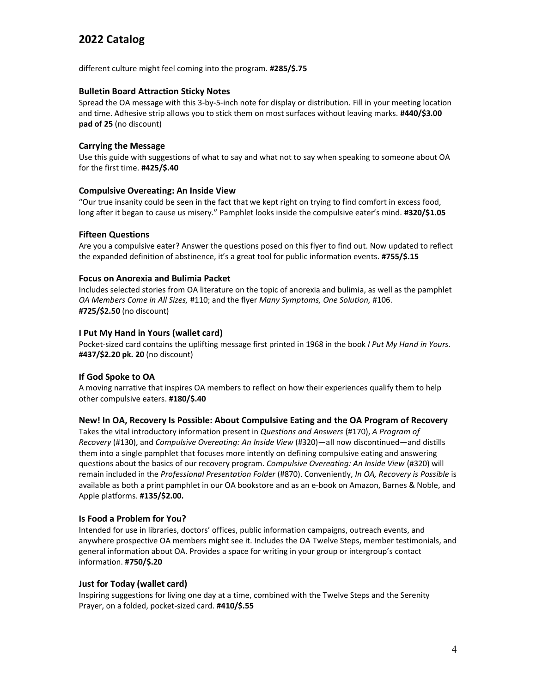different culture might feel coming into the program. **#285/\$.75**

### **Bulletin Board Attraction Sticky Notes**

Spread the OA message with this 3-by-5-inch note for display or distribution. Fill in your meeting location and time. Adhesive strip allows you to stick them on most surfaces without leaving marks. **#440/\$3.00 pad of 25** (no discount)

# **Carrying the Message**

Use this guide with suggestions of what to say and what not to say when speaking to someone about OA for the first time. **#425/\$.40**

# **Compulsive Overeating: An Inside View**

"Our true insanity could be seen in the fact that we kept right on trying to find comfort in excess food, long after it began to cause us misery." Pamphlet looks inside the compulsive eater's mind. **#320/\$1.05**

# **Fifteen Questions**

Are you a compulsive eater? Answer the questions posed on this flyer to find out. Now updated to reflect the expanded definition of abstinence, it's a great tool for public information events. **#755/\$.15**

# **Focus on Anorexia and Bulimia Packet**

Includes selected stories from OA literature on the topic of anorexia and bulimia, as well as the pamphlet *OA Members Come in All Sizes,* #110; and the flyer *Many Symptoms, One Solution,* #106. **#725/\$2.50** (no discount)

# **I Put My Hand in Yours (wallet card)**

Pocket-sized card contains the uplifting message first printed in 1968 in the book *I Put My Hand in Yours.* **#437/\$2.20 pk. 20** (no discount)

# **If God Spoke to OA**

A moving narrative that inspires OA members to reflect on how their experiences qualify them to help other compulsive eaters. **#180/\$.40**

# **New! In OA, Recovery Is Possible: About Compulsive Eating and the OA Program of Recovery**

Takes the vital introductory information present in *Questions and Answers* (#170), *A Program of Recovery* (#130), and *Compulsive Overeating: An Inside View* (#320)—all now discontinued—and distills them into a single pamphlet that focuses more intently on defining compulsive eating and answering questions about the basics of our recovery program. *Compulsive Overeating: An Inside View* (#320) will remain included in the *Professional Presentation Folder* (#870). Conveniently, *In OA, Recovery is Possible* is available as both a print pamphlet in our OA bookstore and as an e-book on Amazon, Barnes & Noble, and Apple platforms. **#135/\$2.00.**

# **Is Food a Problem for You?**

Intended for use in libraries, doctors' offices, public information campaigns, outreach events, and anywhere prospective OA members might see it. Includes the OA Twelve Steps, member testimonials, and general information about OA. Provides a space for writing in your group or intergroup's contact information. **#750/\$.20**

# **Just for Today (wallet card)**

Inspiring suggestions for living one day at a time, combined with the Twelve Steps and the Serenity Prayer, on a folded, pocket-sized card. **#410/\$.55**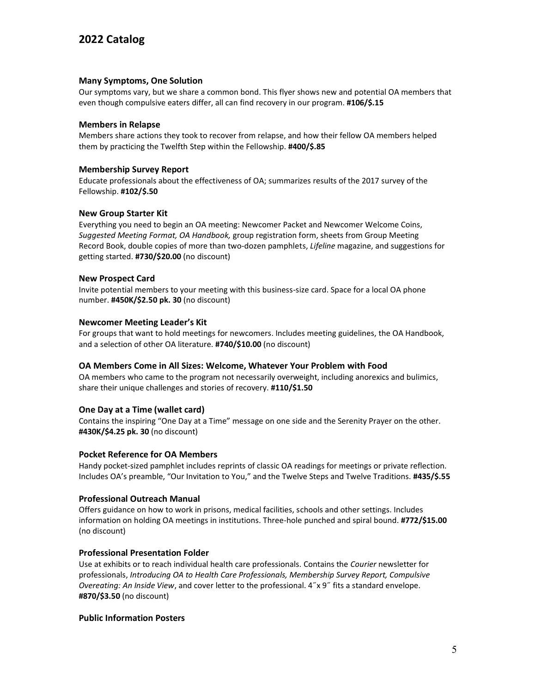#### **Many Symptoms, One Solution**

Our symptoms vary, but we share a common bond. This flyer shows new and potential OA members that even though compulsive eaters differ, all can find recovery in our program. **#106/\$.15**

### **Members in Relapse**

Members share actions they took to recover from relapse, and how their fellow OA members helped them by practicing the Twelfth Step within the Fellowship. **#400/\$.85**

### **Membership Survey Report**

Educate professionals about the effectiveness of OA; summarizes results of the 2017 survey of the Fellowship. **#102/\$.50**

# **New Group Starter Kit**

Everything you need to begin an OA meeting: Newcomer Packet and Newcomer Welcome Coins, *Suggested Meeting Format, OA Handbook,* group registration form, sheets from Group Meeting Record Book, double copies of more than two-dozen pamphlets, *Lifeline* magazine, and suggestions for getting started. **#730/\$20.00** (no discount)

#### **New Prospect Card**

Invite potential members to your meeting with this business-size card. Space for a local OA phone number. **#450K/\$2.50 pk. 30** (no discount)

# **Newcomer Meeting Leader's Kit**

For groups that want to hold meetings for newcomers. Includes meeting guidelines, the OA Handbook, and a selection of other OA literature. **#740/\$10.00** (no discount)

#### **OA Members Come in All Sizes: Welcome, Whatever Your Problem with Food**

OA members who came to the program not necessarily overweight, including anorexics and bulimics, share their unique challenges and stories of recovery. **#110/\$1.50**

# **One Day at a Time (wallet card)**

Contains the inspiring "One Day at a Time" message on one side and the Serenity Prayer on the other. **#430K/\$4.25 pk. 30** (no discount)

#### **Pocket Reference for OA Members**

Handy pocket-sized pamphlet includes reprints of classic OA readings for meetings or private reflection. Includes OA's preamble, "Our Invitation to You," and the Twelve Steps and Twelve Traditions. **#435/\$.55**

#### **Professional Outreach Manual**

Offers guidance on how to work in prisons, medical facilities, schools and other settings. Includes information on holding OA meetings in institutions. Three-hole punched and spiral bound. **#772/\$15.00**  (no discount)

#### **Professional Presentation Folder**

Use at exhibits or to reach individual health care professionals. Contains the *Courier* newsletter for professionals, *Introducing OA to Health Care Professionals, Membership Survey Report, Compulsive Overeating: An Inside View*, and cover letter to the professional. 4˝x 9˝ fits a standard envelope. **#870/\$3.50** (no discount)

#### **Public Information Posters**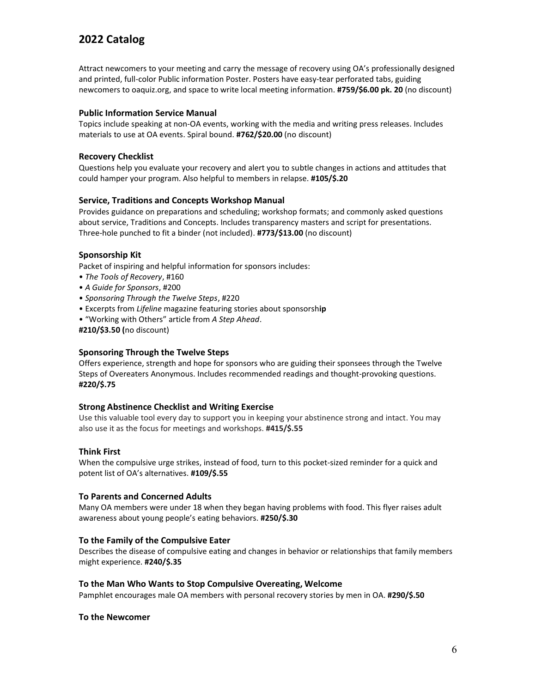Attract newcomers to your meeting and carry the message of recovery using OA's professionally designed and printed, full-color Public information Poster. Posters have easy-tear perforated tabs, guiding newcomers to oaquiz.org, and space to write local meeting information. **#759/\$6.00 pk. 20** (no discount)

### **Public Information Service Manual**

Topics include speaking at non-OA events, working with the media and writing press releases. Includes materials to use at OA events. Spiral bound. **#762/\$20.00** (no discount)

### **Recovery Checklist**

Questions help you evaluate your recovery and alert you to subtle changes in actions and attitudes that could hamper your program. Also helpful to members in relapse. **#105/\$.20**

# **Service, Traditions and Concepts Workshop Manual**

Provides guidance on preparations and scheduling; workshop formats; and commonly asked questions about service, Traditions and Concepts. Includes transparency masters and script for presentations. Three-hole punched to fit a binder (not included). **#773/\$13.00** (no discount)

# **Sponsorship Kit**

Packet of inspiring and helpful information for sponsors includes:

- *The Tools of Recovery*, #160
- *A Guide for Sponsors*, #200
- *Sponsoring Through the Twelve Steps*, #220
- Excerpts from *Lifeline* magazine featuring stories about sponsorsh**ip**
- "Working with Others" article from *A Step Ahead*.

**#210/\$3.50 (**no discount)

#### **Sponsoring Through the Twelve Steps**

Offers experience, strength and hope for sponsors who are guiding their sponsees through the Twelve Steps of Overeaters Anonymous. Includes recommended readings and thought-provoking questions. **#220/\$.75**

#### **Strong Abstinence Checklist and Writing Exercise**

Use this valuable tool every day to support you in keeping your abstinence strong and intact. You may also use it as the focus for meetings and workshops. **#415/\$.55**

#### **Think First**

When the compulsive urge strikes, instead of food, turn to this pocket-sized reminder for a quick and potent list of OA's alternatives. **#109/\$.55**

#### **To Parents and Concerned Adults**

Many OA members were under 18 when they began having problems with food. This flyer raises adult awareness about young people's eating behaviors. **#250/\$.30**

#### **To the Family of the Compulsive Eater**

Describes the disease of compulsive eating and changes in behavior or relationships that family members might experience. **#240/\$.35**

#### **To the Man Who Wants to Stop Compulsive Overeating, Welcome**

Pamphlet encourages male OA members with personal recovery stories by men in OA. **#290/\$.50**

#### **To the Newcomer**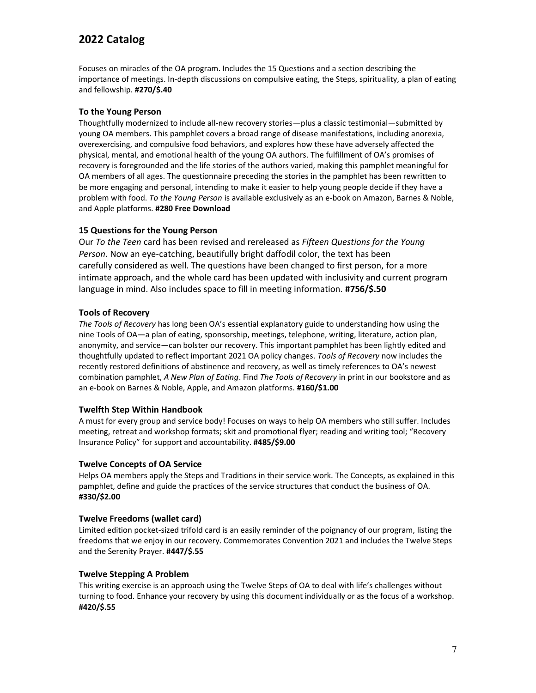Focuses on miracles of the OA program. Includes the 15 Questions and a section describing the importance of meetings. In-depth discussions on compulsive eating, the Steps, spirituality, a plan of eating and fellowship. **#270/\$.40**

### **To the Young Person**

Thoughtfully modernized to include all-new recovery stories—plus a classic testimonial—submitted by young OA members. This pamphlet covers a broad range of disease manifestations, including anorexia, overexercising, and compulsive food behaviors, and explores how these have adversely affected the physical, mental, and emotional health of the young OA authors. The fulfillment of OA's promises of recovery is foregrounded and the life stories of the authors varied, making this pamphlet meaningful for OA members of all ages. The questionnaire preceding the stories in the pamphlet has been rewritten to be more engaging and personal, intending to make it easier to help young people decide if they have a problem with food. *To the Young Person* is available exclusively as an e-book on Amazon, Barnes & Noble, and Apple platforms. **#280 Free Download**

# **15 Questions for the Young Person**

Our *To the Teen* card has been revised and rereleased as *Fifteen Questions for the Young Person.* Now an eye-catching, beautifully bright daffodil color, the text has been carefully considered as well. The questions have been changed to first person, for a more intimate approach, and the whole card has been updated with inclusivity and current program language in mind. Also includes space to fill in meeting information. **#756/\$.50**

# **Tools of Recovery**

*The Tools of Recovery* has long been OA's essential explanatory guide to understanding how using the nine Tools of OA—a plan of eating, sponsorship, meetings, telephone, writing, literature, action plan, anonymity, and service—can bolster our recovery. This important pamphlet has been lightly edited and thoughtfully updated to reflect important 2021 OA policy changes. *Tools of Recovery* now includes the recently restored definitions of abstinence and recovery, as well as timely references to OA's newest combination pamphlet, *A New Plan of Eating*. Find *The Tools of Recovery* in print in our bookstore and as an e-book on Barnes & Noble, Apple, and Amazon platforms. **#160/\$1.00**

#### **Twelfth Step Within Handbook**

A must for every group and service body! Focuses on ways to help OA members who still suffer. Includes meeting, retreat and workshop formats; skit and promotional flyer; reading and writing tool; "Recovery Insurance Policy" for support and accountability. **#485/\$9.00**

#### **Twelve Concepts of OA Service**

Helps OA members apply the Steps and Traditions in their service work. The Concepts, as explained in this pamphlet, define and guide the practices of the service structures that conduct the business of OA. **#330/\$2.00**

#### **Twelve Freedoms (wallet card)**

Limited edition pocket-sized trifold card is an easily reminder of the poignancy of our program, listing the freedoms that we enjoy in our recovery. Commemorates Convention 2021 and includes the Twelve Steps and the Serenity Prayer. **#447/\$.55**

# **Twelve Stepping A Problem**

This writing exercise is an approach using the Twelve Steps of OA to deal with life's challenges without turning to food. Enhance your recovery by using this document individually or as the focus of a workshop. **#420/\$.55**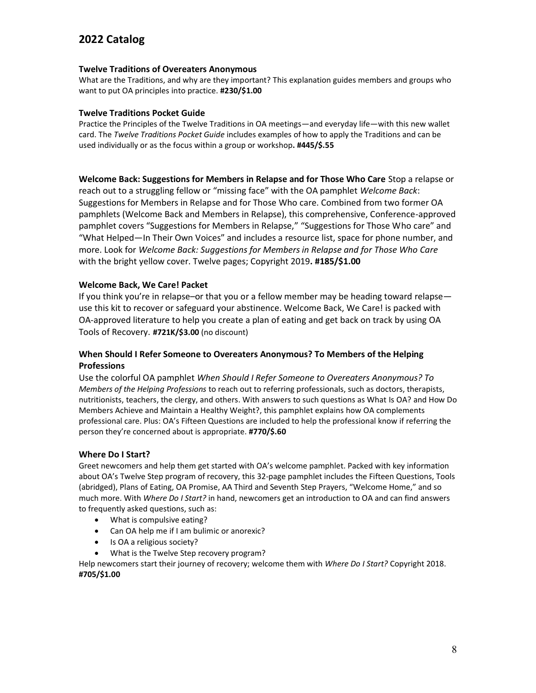# **Twelve Traditions of Overeaters Anonymous**

What are the Traditions, and why are they important? This explanation guides members and groups who want to put OA principles into practice. **#230/\$1.00**

### **Twelve Traditions Pocket Guide**

Practice the Principles of the Twelve Traditions in OA meetings—and everyday life—with this new wallet card. The *Twelve Traditions Pocket Guide* includes examples of how to apply the Traditions and can be used individually or as the focus within a group or workshop**. #445/\$.55**

**Welcome Back: Suggestions for Members in Relapse and for Those Who Care** Stop a relapse or reach out to a struggling fellow or "missing face" with the OA pamphlet *Welcome Back*: Suggestions for Members in Relapse and for Those Who care. Combined from two former OA pamphlets (Welcome Back and Members in Relapse), this comprehensive, Conference-approved pamphlet covers "Suggestions for Members in Relapse," "Suggestions for Those Who care" and "What Helped—In Their Own Voices" and includes a resource list, space for phone number, and more. Look for *Welcome Back: Suggestions for Members in Relapse and for Those Who Care*  with the bright yellow cover. Twelve pages; Copyright 2019**. #185/\$1.00**

# **Welcome Back, We Care! Packet**

If you think you're in relapse–or that you or a fellow member may be heading toward relapse use this kit to recover or safeguard your abstinence. Welcome Back, We Care! is packed with OA-approved literature to help you create a plan of eating and get back on track by using OA Tools of Recovery. **#721K/\$3.00** (no discount)

# **When Should I Refer Someone to Overeaters Anonymous? To Members of the Helping Professions**

Use the colorful OA pamphlet *When Should I Refer Someone to Overeaters Anonymous? To Members of the Helping Professions* to reach out to referring professionals, such as doctors, therapists, nutritionists, teachers, the clergy, and others. With answers to such questions as What Is OA? and How Do Members Achieve and Maintain a Healthy Weight?, this pamphlet explains how OA complements professional care. Plus: OA's Fifteen Questions are included to help the professional know if referring the person they're concerned about is appropriate. **#770/\$.60**

# **Where Do I Start?**

Greet newcomers and help them get started with OA's welcome pamphlet. Packed with key information about OA's Twelve Step program of recovery, this 32-page pamphlet includes the Fifteen Questions, Tools (abridged), Plans of Eating, OA Promise, AA Third and Seventh Step Prayers, "Welcome Home," and so much more. With *Where Do I Start?* in hand, newcomers get an introduction to OA and can find answers to frequently asked questions, such as:

- What is compulsive eating?
- Can OA help me if I am bulimic or anorexic?
- Is OA a religious society?
- What is the Twelve Step recovery program?

Help newcomers start their journey of recovery; welcome them with *Where Do I Start?* Copyright 2018. **#705/\$1.00**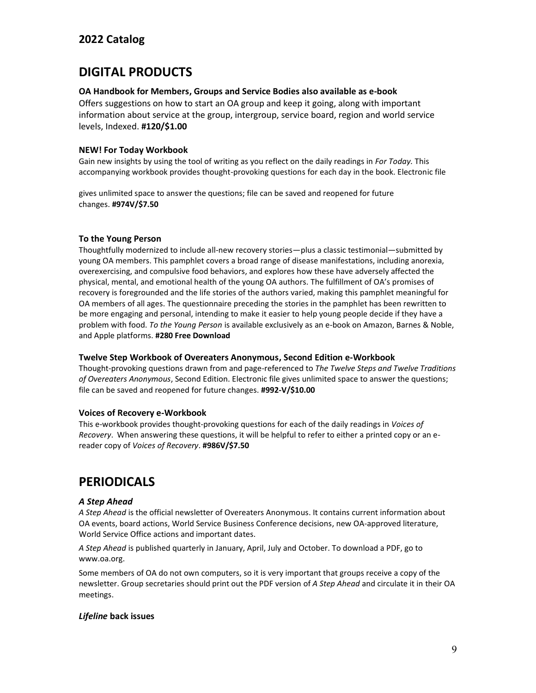# **DIGITAL PRODUCTS**

### **OA Handbook for Members, Groups and Service Bodies also available as e-book**

Offers suggestions on how to start an OA group and keep it going, along with important information about service at the group, intergroup, service board, region and world service levels, Indexed. **#120/\$1.00**

# **NEW! For Today Workbook**

Gain new insights by using the tool of writing as you reflect on the daily readings in *For Today.* This accompanying workbook provides thought-provoking questions for each day in the book. Electronic file

gives unlimited space to answer the questions; file can be saved and reopened for future changes. **#974V/\$7.50**

# **To the Young Person**

Thoughtfully modernized to include all-new recovery stories—plus a classic testimonial—submitted by young OA members. This pamphlet covers a broad range of disease manifestations, including anorexia, overexercising, and compulsive food behaviors, and explores how these have adversely affected the physical, mental, and emotional health of the young OA authors. The fulfillment of OA's promises of recovery is foregrounded and the life stories of the authors varied, making this pamphlet meaningful for OA members of all ages. The questionnaire preceding the stories in the pamphlet has been rewritten to be more engaging and personal, intending to make it easier to help young people decide if they have a problem with food. *To the Young Person* is available exclusively as an e-book on Amazon, Barnes & Noble, and Apple platforms. **#280 Free Download**

#### **Twelve Step Workbook of Overeaters Anonymous, Second Edition e-Workbook**

Thought-provoking questions drawn from and page-referenced to *The Twelve Steps and Twelve Traditions of Overeaters Anonymous*, Second Edition. Electronic file gives unlimited space to answer the questions; file can be saved and reopened for future changes. **#992-V/\$10.00**

#### **Voices of Recovery e-Workbook**

This e-workbook provides thought-provoking questions for each of the daily readings in *Voices of Recovery*. When answering these questions, it will be helpful to refer to either a printed copy or an ereader copy of *Voices of Recovery*. **#986V/\$7.50**

# **PERIODICALS**

# *A Step Ahead*

*A Step Ahead* is the official newsletter of Overeaters Anonymous. It contains current information about OA events, board actions, World Service Business Conference decisions, new OA-approved literature, World Service Office actions and important dates.

*A Step Ahead* is published quarterly in January, April, July and October. To download a PDF, go to www.oa.org.

Some members of OA do not own computers, so it is very important that groups receive a copy of the newsletter. Group secretaries should print out the PDF version of *A Step Ahead* and circulate it in their OA meetings.

# *Lifeline* **back issues**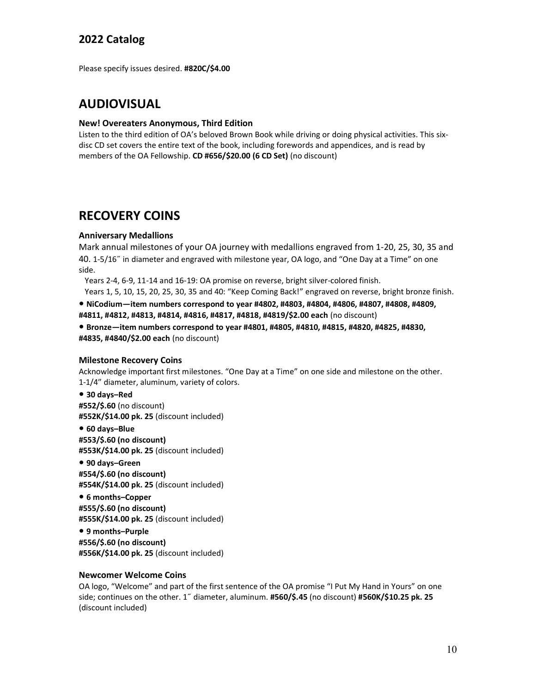Please specify issues desired. **#820C/\$4.00**

# **AUDIOVISUAL**

#### **New! Overeaters Anonymous, Third Edition**

Listen to the third edition of OA's beloved Brown Book while driving or doing physical activities. This sixdisc CD set covers the entire text of the book, including forewords and appendices, and is read by members of the OA Fellowship. **CD #656/\$20.00 (6 CD Set)** (no discount)

# **RECOVERY COINS**

### **Anniversary Medallions**

Mark annual milestones of your OA journey with medallions engraved from 1-20, 25, 30, 35 and 40. 1-5/16˝ in diameter and engraved with milestone year, OA logo, and "One Day at a Time" on one side.

Years 2-4, 6-9, 11-14 and 16-19: OA promise on reverse, bright silver-colored finish.

Years 1, 5, 10, 15, 20, 25, 30, 35 and 40: "Keep Coming Back!" engraved on reverse, bright bronze finish.

**• NiCodium—item numbers correspond to year #4802, #4803, #4804, #4806, #4807, #4808, #4809, #4811, #4812, #4813, #4814, #4816, #4817, #4818, #4819/\$2.00 each** (no discount)

**• Bronze—item numbers correspond to year #4801, #4805, #4810, #4815, #4820, #4825, #4830, #4835, #4840/\$2.00 each** (no discount)

#### **Milestone Recovery Coins**

Acknowledge important first milestones. "One Day at a Time" on one side and milestone on the other. 1-1/4" diameter, aluminum, variety of colors.

#### **• 30 days–Red**

**#552/\$.60** (no discount) **#552K/\$14.00 pk. 25** (discount included)

# **• 60 days–Blue**

**#553/\$.60 (no discount) #553K/\$14.00 pk. 25** (discount included)

**• 90 days–Green #554/\$.60 (no discount) #554K/\$14.00 pk. 25** (discount included)

**• 6 months–Copper #555/\$.60 (no discount) #555K/\$14.00 pk. 25** (discount included)

**• 9 months–Purple #556/\$.60 (no discount) #556K/\$14.00 pk. 25** (discount included)

#### **Newcomer Welcome Coins**

OA logo, "Welcome" and part of the first sentence of the OA promise "I Put My Hand in Yours" on one side; continues on the other. 1˝ diameter, aluminum. **#560/\$.45** (no discount) **#560K/\$10.25 pk. 25**  (discount included)